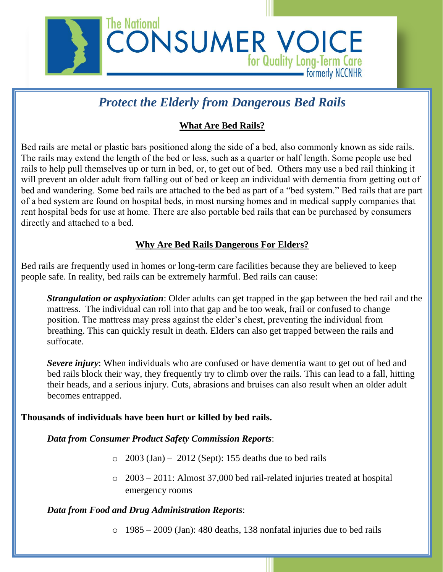

# *Protect the Elderly from Dangerous Bed Rails*

## **What Are Bed Rails?**

Bed rails are metal or plastic bars positioned along the side of a bed, also commonly known as side rails. The rails may extend the length of the bed or less, such as a quarter or half length. Some people use bed rails to help pull themselves up or turn in bed, or, to get out of bed. Others may use a bed rail thinking it will prevent an older adult from falling out of bed or keep an individual with dementia from getting out of bed and wandering. Some bed rails are attached to the bed as part of a "bed system." Bed rails that are part of a bed system are found on hospital beds, in most nursing homes and in medical supply companies that rent hospital beds for use at home. There are also portable bed rails that can be purchased by consumers directly and attached to a bed.

## **Why Are Bed Rails Dangerous For Elders?**

Bed rails are frequently used in homes or long-term care facilities because they are believed to keep people safe. In reality, bed rails can be extremely harmful. Bed rails can cause:

*Strangulation or asphyxiation*: Older adults can get trapped in the gap between the bed rail and the mattress. The individual can roll into that gap and be too weak, frail or confused to change position. The mattress may press against the elder's chest, preventing the individual from breathing. This can quickly result in death. Elders can also get trapped between the rails and suffocate.

*Severe injury*: When individuals who are confused or have dementia want to get out of bed and bed rails block their way, they frequently try to climb over the rails. This can lead to a fall, hitting their heads, and a serious injury. Cuts, abrasions and bruises can also result when an older adult becomes entrapped.

#### **Thousands of individuals have been hurt or killed by bed rails.**

*Data from Consumer Product Safety Commission Reports*:

- $\degree$  2003 (Jan) 2012 (Sept): 155 deaths due to bed rails
- o 2003 2011: Almost 37,000 bed rail-related injuries treated at hospital emergency rooms

#### *Data from Food and Drug Administration Reports*:

o 1985 – 2009 (Jan): 480 deaths, 138 nonfatal injuries due to bed rails